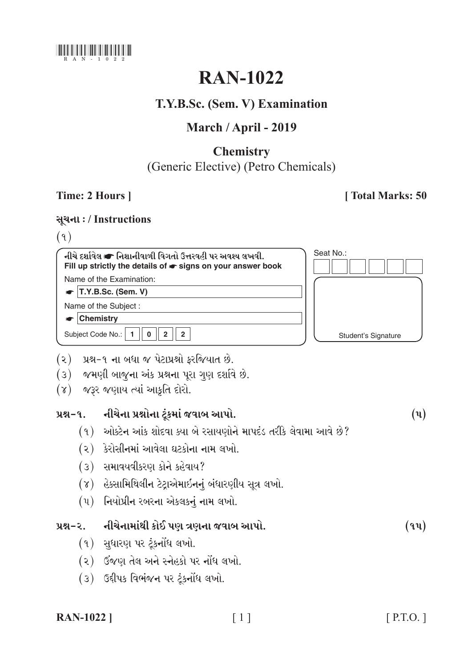

# **RAN-1022**

# T.Y.B.Sc. (Sem. V) Examination

# March / April - 2019

### **Chemistry** (Generic Elective) (Petro Chemicals)

### Time: 2 Hours 1

### [Total Marks: 50

#### સૂચના: / Instructions

 $(9)$ 

નીચે દર્શાવેલ ☞ નિશાનીવાળી વિગતો ઉત્તરવહી પર અવશ્ય લખવી. Fill up strictly the details of  $\bullet$  signs on your answer book

 $\overline{2}$ 

Name of the Examination:

 $\bullet$  T.Y.B.Sc. (Sem. V) Name of the Subject:

 $\bullet$  Chemistry

Subject Code No.:  $\begin{bmatrix} 1 \end{bmatrix}$  0  $2$ 



- (૨) પ્રશ્ન-૧ ના બધા જ પેટાપ્રશ્નો ફરજિયાત છે.
- (3) જમણી બાજુના અંક પ્રશ્નના પૂરા ગણ દર્શાવે છે.
- (૪) જરૂર જણાય ત્યાં આકૃતિ દોરો.

#### નીચેના પ્રશ્નોના ટૂંકમાં જવાબ આપો.  $38 - 9$ .

- (૧) ઓક્ટેન આંક શોદવા ક્યા બે રસાયણોને માપદંડ તરીકે લેવામા આવે છે?
- (૨) કેરોસીનમાં આવેલા ઘટકોના નામ લખો.
- (3) સમાવયવીકરણ કોને કહેવાય?
- (४) હેક્સામિથિલીન ટેટ્રાએમાઇનનું બંધારણીય સૂત્ર લખો.
- (૫) નિયોપ્રીન રબરના એકલકનું નામ લખો.

### પ્રશ્ન-૨. નીચેનામાંથી કોઈ પણ ત્રણના જવાબ આપો.

- (१) सुधारण पर टूंडनोंध લખો.
- (૨) ઉજણ તેલ અને સ્નેહકો પર નોંધ લખો.
- (3) ઉદ્દીપક વિભંજન પર ટૂંકનોંધ લખો.

#### **RAN-1022** 1

# $[$  P.T.O.  $]$

 $(\mathbf{u})$ 

 $(9y)$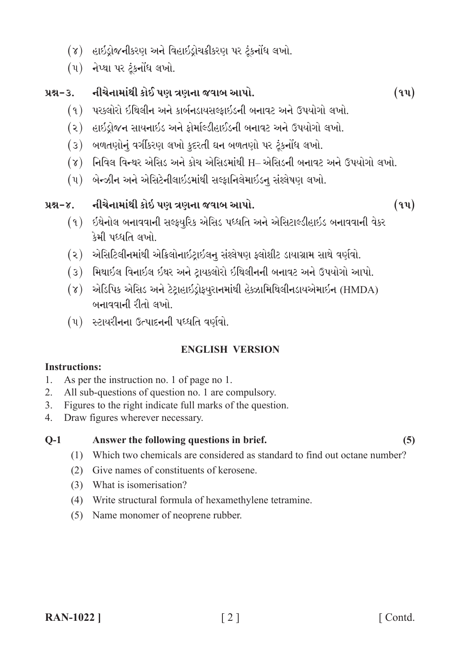- (૪) હાઇડ્રોજનીકરણ અને વિહાઇડ્રોચક્રીકરણ પર ટંકનોંધ લખો.
- (૫) નેપ્થા પર ટંકનોંધ લખો.

#### નીચેનામાંથી કોઈ પણ ત્રણના જવાબ આપો.  $98 - 3$

- (૧) પરક્લોરો ઇથિલીન અને કાર્બનડાયસલ્કાઇડની બનાવટ અને ઉપયોગો લખો.
- (૨) હાઇડોજન સાયનાઇડ અને કોર્માલ્ડીહાઈડની બનાવટ અને ઉપયોગો લખો.
- (3) બળતણોનું વર્ગીકરણ લખો કુદરતી ઘન બળતણો પર ટુંકનોંધ લખો.
- (૪) નિવિલ વિન્થર એસિડ અને કોચ એસિડમાંથી H– એસિડની બનાવટ અને ઉપયોગો લખો.
- (૫) બેન્ઝીન અને એસિટેનીલાઇડમાંથી સલ્ફાનિલેમાઇડન્ સંશ્લેષણ લખો.

#### નીચેનામાંથી કોઇ પણ ત્રણના જવાબ આપો.  $98 - 8$ .

 $(9y)$ 

 $(9y)$ 

- (૧) ઇથેનોલ બનાવવાની સલ્કયરિક એસિડ પધ્ધતિ અને એસિટાલ્ડીહાઇડ બનાવવાની વેકર કેમી પદઘતિ લખો.
- (૨) એસિટિલીનમાંથી એક્રિલોનાઇટ્રાઇલન્ સંશ્લેષણ ફ્લોશીટ ડાયાગ્રામ સાથે વર્ણવો.
- (3) મિથાઇલ વિનાઇલ ઇથર અને ટ્રાયક્લોરો ઇથિલીનની બનાવટ અને ઉપયોગો આપો.
- (૪) એડિપિક એસિડ અને ટેટ્રાહાઇડ્રોફયુરાનમાંથી હેક્ઝામિથિલીનડાયએમાઇન (HMDA) બનાવવાની રીતો લખો
- (૫) સ્ટાયરીનના ઉત્પાદનની પધ્ધતિ વર્ણવો.

#### **ENGLISH VERSION**

#### **Instructions:**

- As per the instruction no. 1 of page no 1.  $1<sup>1</sup>$
- All sub-questions of question no. 1 are compulsory.  $2<sub>1</sub>$
- $\overline{3}$ Figures to the right indicate full marks of the question.
- $4.$ Draw figures wherever necessary.

#### $O-1$ Answer the following questions in brief.

- (1) Which two chemicals are considered as standard to find out octane number?
- (2) Give names of constituents of kerosene.
- (3) What is isomerisation?
- (4) Write structural formula of hexamethylene tetramine.
- (5) Name monomer of neoprene rubber.

 $(5)$